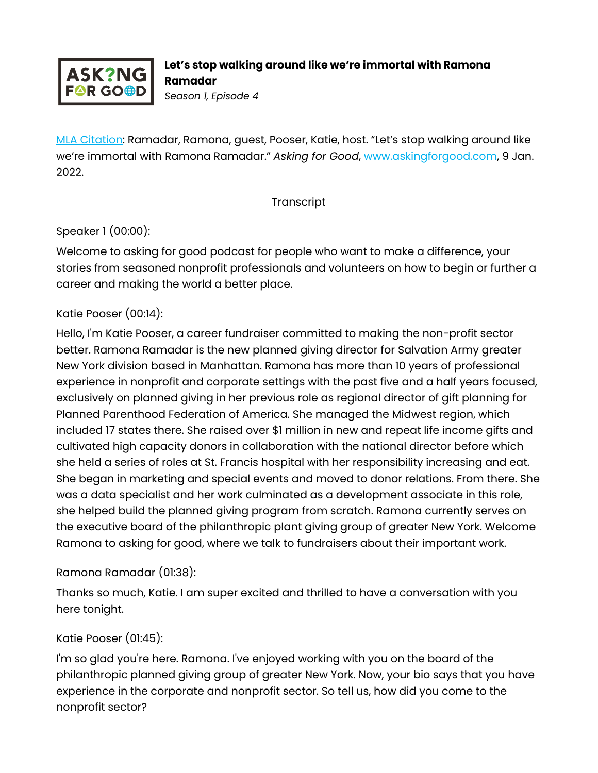

[MLA Citation:](https://style.mla.org/how-do-i-cite-a-podcast-episode/) Ramadar, Ramona, guest, Pooser, Katie, host. "Let's stop walking around like we're immortal with Ramona Ramadar." *Asking for Good*, [www.askingforgood.com,](http://www.askingforgood.com/) 9 Jan. 2022.

#### **Transcript**

#### Speaker 1 (00:00):

Welcome to asking for good podcast for people who want to make a difference, your stories from seasoned nonprofit professionals and volunteers on how to begin or further a career and making the world a better place.

#### Katie Pooser (00:14):

Hello, I'm Katie Pooser, a career fundraiser committed to making the non-profit sector better. Ramona Ramadar is the new planned giving director for Salvation Army greater New York division based in Manhattan. Ramona has more than 10 years of professional experience in nonprofit and corporate settings with the past five and a half years focused, exclusively on planned giving in her previous role as regional director of gift planning for Planned Parenthood Federation of America. She managed the Midwest region, which included 17 states there. She raised over \$1 million in new and repeat life income gifts and cultivated high capacity donors in collaboration with the national director before which she held a series of roles at St. Francis hospital with her responsibility increasing and eat. She began in marketing and special events and moved to donor relations. From there. She was a data specialist and her work culminated as a development associate in this role, she helped build the planned giving program from scratch. Ramona currently serves on the executive board of the philanthropic plant giving group of greater New York. Welcome Ramona to asking for good, where we talk to fundraisers about their important work.

### Ramona Ramadar (01:38):

Thanks so much, Katie. I am super excited and thrilled to have a conversation with you here tonight.

### Katie Pooser (01:45):

I'm so glad you're here. Ramona. I've enjoyed working with you on the board of the philanthropic planned giving group of greater New York. Now, your bio says that you have experience in the corporate and nonprofit sector. So tell us, how did you come to the nonprofit sector?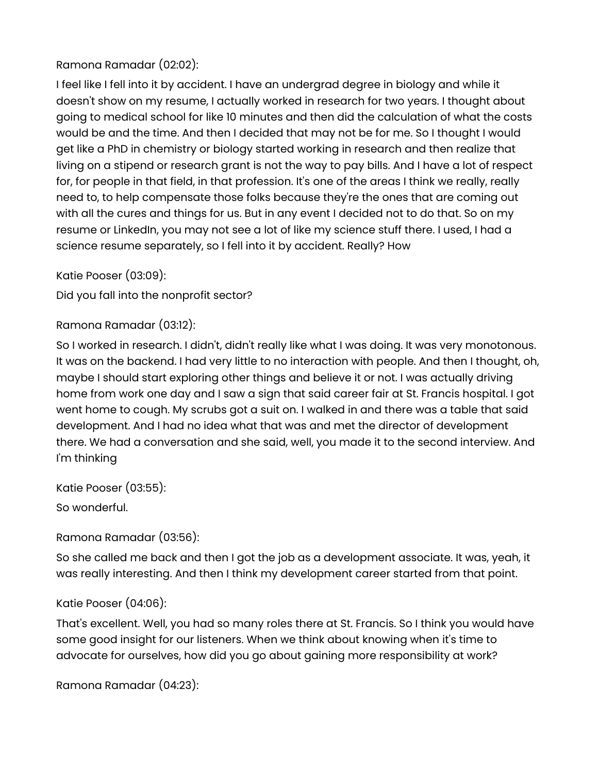# Ramona Ramadar (02:02):

I feel like I fell into it by accident. I have an undergrad degree in biology and while it doesn't show on my resume, I actually worked in research for two years. I thought about going to medical school for like 10 minutes and then did the calculation of what the costs would be and the time. And then I decided that may not be for me. So I thought I would get like a PhD in chemistry or biology started working in research and then realize that living on a stipend or research grant is not the way to pay bills. And I have a lot of respect for, for people in that field, in that profession. It's one of the areas I think we really, really need to, to help compensate those folks because they're the ones that are coming out with all the cures and things for us. But in any event I decided not to do that. So on my resume or LinkedIn, you may not see a lot of like my science stuff there. I used, I had a science resume separately, so I fell into it by accident. Really? How

Katie Pooser (03:09):

Did you fall into the nonprofit sector?

Ramona Ramadar (03:12):

So I worked in research. I didn't, didn't really like what I was doing. It was very monotonous. It was on the backend. I had very little to no interaction with people. And then I thought, oh, maybe I should start exploring other things and believe it or not. I was actually driving home from work one day and I saw a sign that said career fair at St. Francis hospital. I got went home to cough. My scrubs got a suit on. I walked in and there was a table that said development. And I had no idea what that was and met the director of development there. We had a conversation and she said, well, you made it to the second interview. And I'm thinking

Katie Pooser (03:55):

So wonderful.

Ramona Ramadar (03:56):

So she called me back and then I got the job as a development associate. It was, yeah, it was really interesting. And then I think my development career started from that point.

#### Katie Pooser (04:06):

That's excellent. Well, you had so many roles there at St. Francis. So I think you would have some good insight for our listeners. When we think about knowing when it's time to advocate for ourselves, how did you go about gaining more responsibility at work?

Ramona Ramadar (04:23):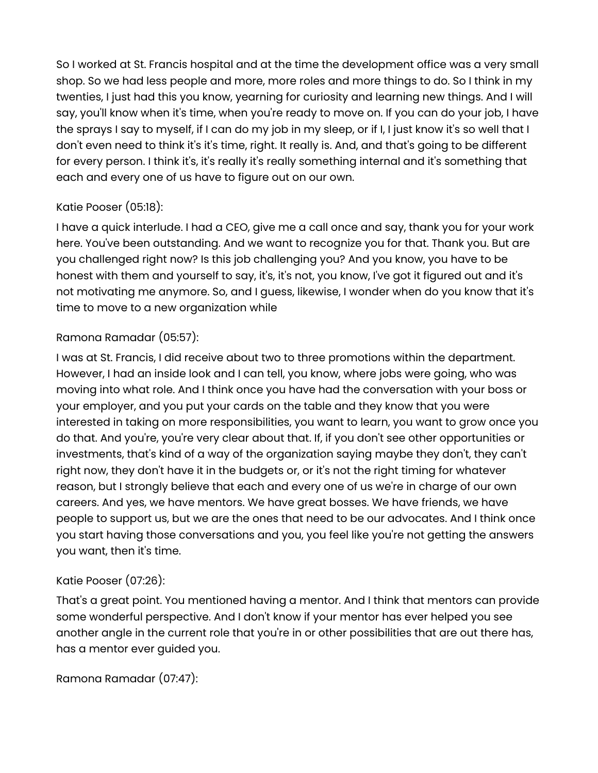So I worked at St. Francis hospital and at the time the development office was a very small shop. So we had less people and more, more roles and more things to do. So I think in my twenties, I just had this you know, yearning for curiosity and learning new things. And I will say, you'll know when it's time, when you're ready to move on. If you can do your job, I have the sprays I say to myself, if I can do my job in my sleep, or if I, I just know it's so well that I don't even need to think it's it's time, right. It really is. And, and that's going to be different for every person. I think it's, it's really it's really something internal and it's something that each and every one of us have to figure out on our own.

## Katie Pooser (05:18):

I have a quick interlude. I had a CEO, give me a call once and say, thank you for your work here. You've been outstanding. And we want to recognize you for that. Thank you. But are you challenged right now? Is this job challenging you? And you know, you have to be honest with them and yourself to say, it's, it's not, you know, I've got it figured out and it's not motivating me anymore. So, and I guess, likewise, I wonder when do you know that it's time to move to a new organization while

## Ramona Ramadar (05:57):

I was at St. Francis, I did receive about two to three promotions within the department. However, I had an inside look and I can tell, you know, where jobs were going, who was moving into what role. And I think once you have had the conversation with your boss or your employer, and you put your cards on the table and they know that you were interested in taking on more responsibilities, you want to learn, you want to grow once you do that. And you're, you're very clear about that. If, if you don't see other opportunities or investments, that's kind of a way of the organization saying maybe they don't, they can't right now, they don't have it in the budgets or, or it's not the right timing for whatever reason, but I strongly believe that each and every one of us we're in charge of our own careers. And yes, we have mentors. We have great bosses. We have friends, we have people to support us, but we are the ones that need to be our advocates. And I think once you start having those conversations and you, you feel like you're not getting the answers you want, then it's time.

# Katie Pooser (07:26):

That's a great point. You mentioned having a mentor. And I think that mentors can provide some wonderful perspective. And I don't know if your mentor has ever helped you see another angle in the current role that you're in or other possibilities that are out there has, has a mentor ever guided you.

Ramona Ramadar (07:47):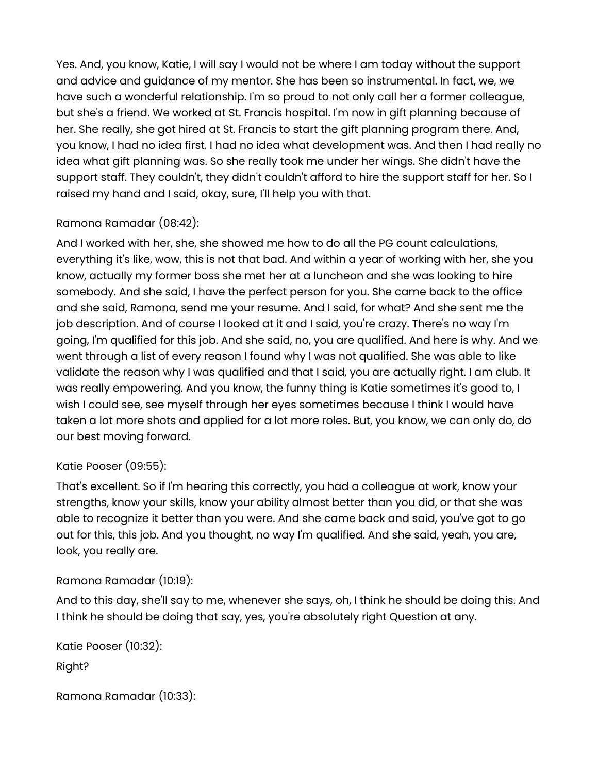Yes. And, you know, Katie, I will say I would not be where I am today without the support and advice and guidance of my mentor. She has been so instrumental. In fact, we, we have such a wonderful relationship. I'm so proud to not only call her a former colleague, but she's a friend. We worked at St. Francis hospital. I'm now in gift planning because of her. She really, she got hired at St. Francis to start the gift planning program there. And, you know, I had no idea first. I had no idea what development was. And then I had really no idea what gift planning was. So she really took me under her wings. She didn't have the support staff. They couldn't, they didn't couldn't afford to hire the support staff for her. So I raised my hand and I said, okay, sure, I'll help you with that.

## Ramona Ramadar (08:42):

And I worked with her, she, she showed me how to do all the PG count calculations, everything it's like, wow, this is not that bad. And within a year of working with her, she you know, actually my former boss she met her at a luncheon and she was looking to hire somebody. And she said, I have the perfect person for you. She came back to the office and she said, Ramona, send me your resume. And I said, for what? And she sent me the job description. And of course I looked at it and I said, you're crazy. There's no way I'm going, I'm qualified for this job. And she said, no, you are qualified. And here is why. And we went through a list of every reason I found why I was not qualified. She was able to like validate the reason why I was qualified and that I said, you are actually right. I am club. It was really empowering. And you know, the funny thing is Katie sometimes it's good to, I wish I could see, see myself through her eyes sometimes because I think I would have taken a lot more shots and applied for a lot more roles. But, you know, we can only do, do our best moving forward.

### Katie Pooser (09:55):

That's excellent. So if I'm hearing this correctly, you had a colleague at work, know your strengths, know your skills, know your ability almost better than you did, or that she was able to recognize it better than you were. And she came back and said, you've got to go out for this, this job. And you thought, no way I'm qualified. And she said, yeah, you are, look, you really are.

#### Ramona Ramadar (10:19):

And to this day, she'll say to me, whenever she says, oh, I think he should be doing this. And I think he should be doing that say, yes, you're absolutely right Question at any.

```
Katie Pooser (10:32):
Right?
```

```
Ramona Ramadar (10:33):
```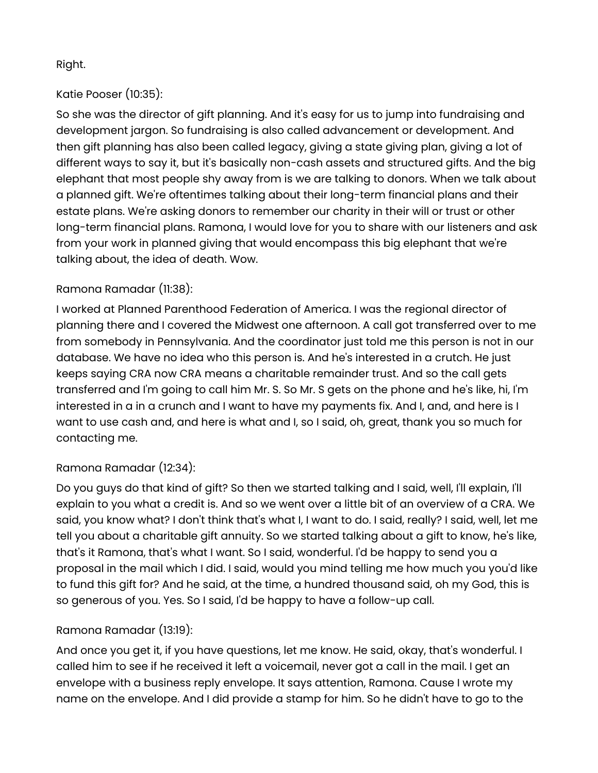### Right.

# Katie Pooser (10:35):

So she was the director of gift planning. And it's easy for us to jump into fundraising and development jargon. So fundraising is also called advancement or development. And then gift planning has also been called legacy, giving a state giving plan, giving a lot of different ways to say it, but it's basically non-cash assets and structured gifts. And the big elephant that most people shy away from is we are talking to donors. When we talk about a planned gift. We're oftentimes talking about their long-term financial plans and their estate plans. We're asking donors to remember our charity in their will or trust or other long-term financial plans. Ramona, I would love for you to share with our listeners and ask from your work in planned giving that would encompass this big elephant that we're talking about, the idea of death. Wow.

## Ramona Ramadar (11:38):

I worked at Planned Parenthood Federation of America. I was the regional director of planning there and I covered the Midwest one afternoon. A call got transferred over to me from somebody in Pennsylvania. And the coordinator just told me this person is not in our database. We have no idea who this person is. And he's interested in a crutch. He just keeps saying CRA now CRA means a charitable remainder trust. And so the call gets transferred and I'm going to call him Mr. S. So Mr. S gets on the phone and he's like, hi, I'm interested in a in a crunch and I want to have my payments fix. And I, and, and here is I want to use cash and, and here is what and I, so I said, oh, great, thank you so much for contacting me.

### Ramona Ramadar (12:34):

Do you guys do that kind of gift? So then we started talking and I said, well, I'll explain, I'll explain to you what a credit is. And so we went over a little bit of an overview of a CRA. We said, you know what? I don't think that's what I, I want to do. I said, really? I said, well, let me tell you about a charitable gift annuity. So we started talking about a gift to know, he's like, that's it Ramona, that's what I want. So I said, wonderful. I'd be happy to send you a proposal in the mail which I did. I said, would you mind telling me how much you you'd like to fund this gift for? And he said, at the time, a hundred thousand said, oh my God, this is so generous of you. Yes. So I said, I'd be happy to have a follow-up call.

### Ramona Ramadar (13:19):

And once you get it, if you have questions, let me know. He said, okay, that's wonderful. I called him to see if he received it left a voicemail, never got a call in the mail. I get an envelope with a business reply envelope. It says attention, Ramona. Cause I wrote my name on the envelope. And I did provide a stamp for him. So he didn't have to go to the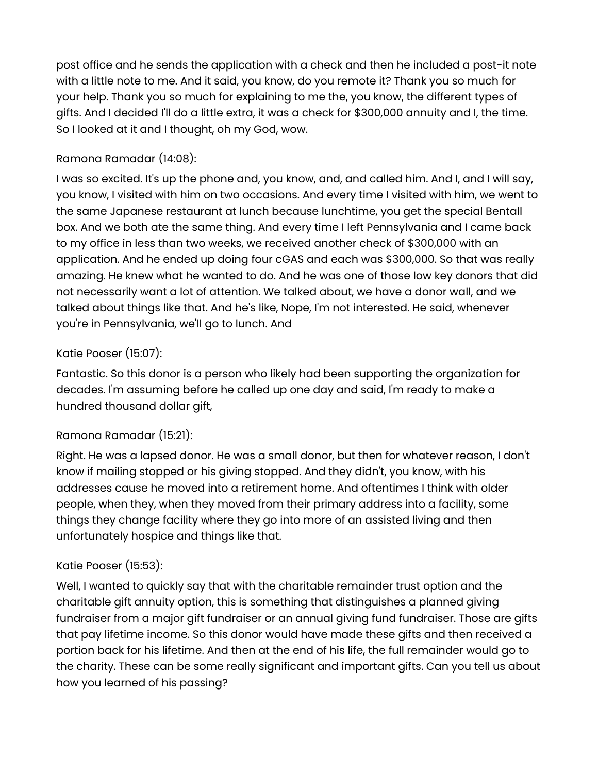post office and he sends the application with a check and then he included a post-it note with a little note to me. And it said, you know, do you remote it? Thank you so much for your help. Thank you so much for explaining to me the, you know, the different types of gifts. And I decided I'll do a little extra, it was a check for \$300,000 annuity and I, the time. So I looked at it and I thought, oh my God, wow.

### Ramona Ramadar (14:08):

I was so excited. It's up the phone and, you know, and, and called him. And I, and I will say, you know, I visited with him on two occasions. And every time I visited with him, we went to the same Japanese restaurant at lunch because lunchtime, you get the special Bentall box. And we both ate the same thing. And every time I left Pennsylvania and I came back to my office in less than two weeks, we received another check of \$300,000 with an application. And he ended up doing four cGAS and each was \$300,000. So that was really amazing. He knew what he wanted to do. And he was one of those low key donors that did not necessarily want a lot of attention. We talked about, we have a donor wall, and we talked about things like that. And he's like, Nope, I'm not interested. He said, whenever you're in Pennsylvania, we'll go to lunch. And

## Katie Pooser (15:07):

Fantastic. So this donor is a person who likely had been supporting the organization for decades. I'm assuming before he called up one day and said, I'm ready to make a hundred thousand dollar gift,

### Ramona Ramadar (15:21):

Right. He was a lapsed donor. He was a small donor, but then for whatever reason, I don't know if mailing stopped or his giving stopped. And they didn't, you know, with his addresses cause he moved into a retirement home. And oftentimes I think with older people, when they, when they moved from their primary address into a facility, some things they change facility where they go into more of an assisted living and then unfortunately hospice and things like that.

# Katie Pooser (15:53):

Well, I wanted to quickly say that with the charitable remainder trust option and the charitable gift annuity option, this is something that distinguishes a planned giving fundraiser from a major gift fundraiser or an annual giving fund fundraiser. Those are gifts that pay lifetime income. So this donor would have made these gifts and then received a portion back for his lifetime. And then at the end of his life, the full remainder would go to the charity. These can be some really significant and important gifts. Can you tell us about how you learned of his passing?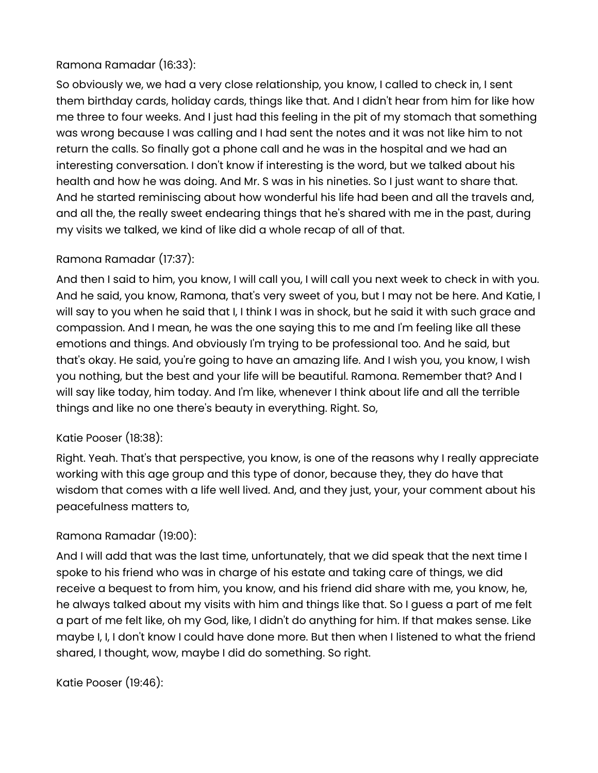# Ramona Ramadar (16:33):

So obviously we, we had a very close relationship, you know, I called to check in, I sent them birthday cards, holiday cards, things like that. And I didn't hear from him for like how me three to four weeks. And I just had this feeling in the pit of my stomach that something was wrong because I was calling and I had sent the notes and it was not like him to not return the calls. So finally got a phone call and he was in the hospital and we had an interesting conversation. I don't know if interesting is the word, but we talked about his health and how he was doing. And Mr. S was in his nineties. So I just want to share that. And he started reminiscing about how wonderful his life had been and all the travels and, and all the, the really sweet endearing things that he's shared with me in the past, during my visits we talked, we kind of like did a whole recap of all of that.

## Ramona Ramadar (17:37):

And then I said to him, you know, I will call you, I will call you next week to check in with you. And he said, you know, Ramona, that's very sweet of you, but I may not be here. And Katie, I will say to you when he said that I, I think I was in shock, but he said it with such grace and compassion. And I mean, he was the one saying this to me and I'm feeling like all these emotions and things. And obviously I'm trying to be professional too. And he said, but that's okay. He said, you're going to have an amazing life. And I wish you, you know, I wish you nothing, but the best and your life will be beautiful. Ramona. Remember that? And I will say like today, him today. And I'm like, whenever I think about life and all the terrible things and like no one there's beauty in everything. Right. So,

### Katie Pooser (18:38):

Right. Yeah. That's that perspective, you know, is one of the reasons why I really appreciate working with this age group and this type of donor, because they, they do have that wisdom that comes with a life well lived. And, and they just, your, your comment about his peacefulness matters to,

### Ramona Ramadar (19:00):

And I will add that was the last time, unfortunately, that we did speak that the next time I spoke to his friend who was in charge of his estate and taking care of things, we did receive a bequest to from him, you know, and his friend did share with me, you know, he, he always talked about my visits with him and things like that. So I guess a part of me felt a part of me felt like, oh my God, like, I didn't do anything for him. If that makes sense. Like maybe I, I, I don't know I could have done more. But then when I listened to what the friend shared, I thought, wow, maybe I did do something. So right.

Katie Pooser (19:46):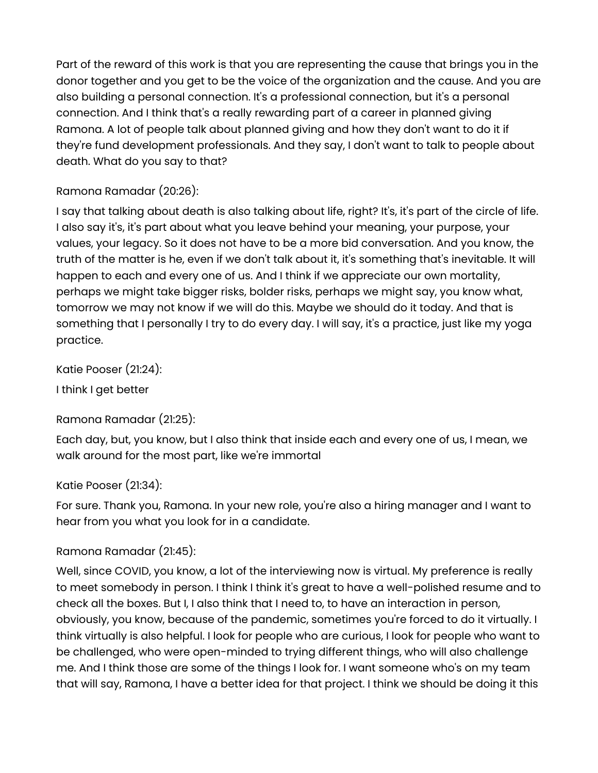Part of the reward of this work is that you are representing the cause that brings you in the donor together and you get to be the voice of the organization and the cause. And you are also building a personal connection. It's a professional connection, but it's a personal connection. And I think that's a really rewarding part of a career in planned giving Ramona. A lot of people talk about planned giving and how they don't want to do it if they're fund development professionals. And they say, I don't want to talk to people about death. What do you say to that?

### Ramona Ramadar (20:26):

I say that talking about death is also talking about life, right? It's, it's part of the circle of life. I also say it's, it's part about what you leave behind your meaning, your purpose, your values, your legacy. So it does not have to be a more bid conversation. And you know, the truth of the matter is he, even if we don't talk about it, it's something that's inevitable. It will happen to each and every one of us. And I think if we appreciate our own mortality, perhaps we might take bigger risks, bolder risks, perhaps we might say, you know what, tomorrow we may not know if we will do this. Maybe we should do it today. And that is something that I personally I try to do every day. I will say, it's a practice, just like my yoga practice.

Katie Pooser (21:24):

I think I get better

# Ramona Ramadar (21:25):

Each day, but, you know, but I also think that inside each and every one of us, I mean, we walk around for the most part, like we're immortal

# Katie Pooser (21:34):

For sure. Thank you, Ramona. In your new role, you're also a hiring manager and I want to hear from you what you look for in a candidate.

# Ramona Ramadar (21:45):

Well, since COVID, you know, a lot of the interviewing now is virtual. My preference is really to meet somebody in person. I think I think it's great to have a well-polished resume and to check all the boxes. But I, I also think that I need to, to have an interaction in person, obviously, you know, because of the pandemic, sometimes you're forced to do it virtually. I think virtually is also helpful. I look for people who are curious, I look for people who want to be challenged, who were open-minded to trying different things, who will also challenge me. And I think those are some of the things I look for. I want someone who's on my team that will say, Ramona, I have a better idea for that project. I think we should be doing it this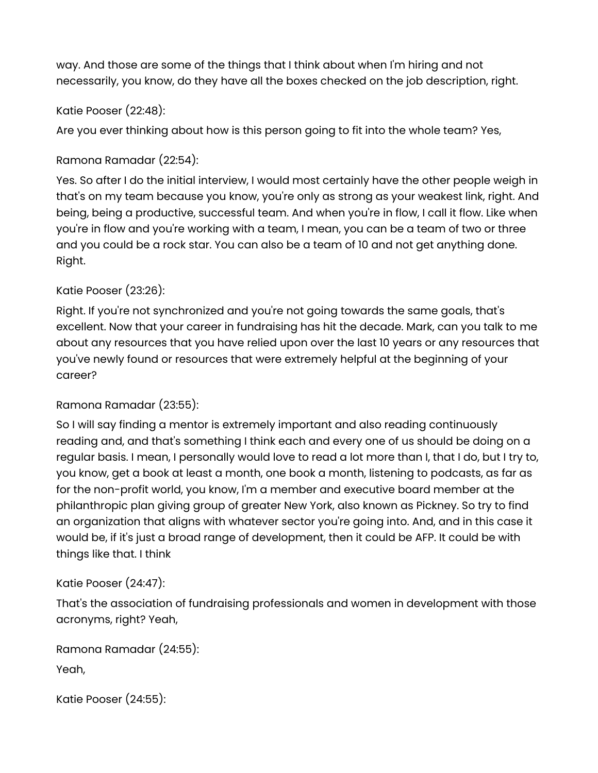way. And those are some of the things that I think about when I'm hiring and not necessarily, you know, do they have all the boxes checked on the job description, right.

# Katie Pooser (22:48):

Are you ever thinking about how is this person going to fit into the whole team? Yes,

# Ramona Ramadar (22:54):

Yes. So after I do the initial interview, I would most certainly have the other people weigh in that's on my team because you know, you're only as strong as your weakest link, right. And being, being a productive, successful team. And when you're in flow, I call it flow. Like when you're in flow and you're working with a team, I mean, you can be a team of two or three and you could be a rock star. You can also be a team of 10 and not get anything done. Right.

# Katie Pooser (23:26):

Right. If you're not synchronized and you're not going towards the same goals, that's excellent. Now that your career in fundraising has hit the decade. Mark, can you talk to me about any resources that you have relied upon over the last 10 years or any resources that you've newly found or resources that were extremely helpful at the beginning of your career?

### Ramona Ramadar (23:55):

So I will say finding a mentor is extremely important and also reading continuously reading and, and that's something I think each and every one of us should be doing on a regular basis. I mean, I personally would love to read a lot more than I, that I do, but I try to, you know, get a book at least a month, one book a month, listening to podcasts, as far as for the non-profit world, you know, I'm a member and executive board member at the philanthropic plan giving group of greater New York, also known as Pickney. So try to find an organization that aligns with whatever sector you're going into. And, and in this case it would be, if it's just a broad range of development, then it could be AFP. It could be with things like that. I think

### Katie Pooser (24:47):

That's the association of fundraising professionals and women in development with those acronyms, right? Yeah,

```
Ramona Ramadar (24:55):
Yeah,
```

```
Katie Pooser (24:55):
```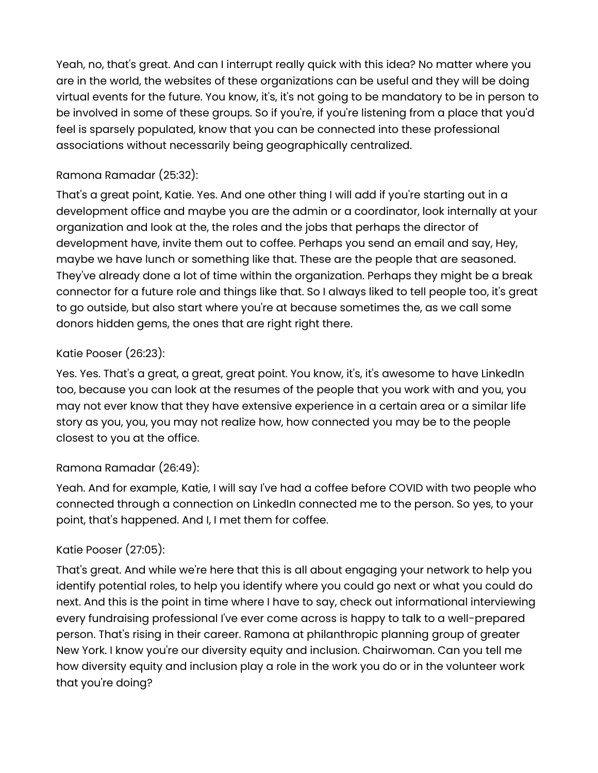Yeah, no, that's great. And can I interrupt really quick with this idea? No matter where you are in the world, the websites of these organizations can be useful and they will be doing virtual events for the future. You know, it's, it's not going to be mandatory to be in person to be involved in some of these groups. So if you're, if you're listening from a place that you'd feel is sparsely populated, know that you can be connected into these professional associations without necessarily being geographically centralized.

## Ramona Ramadar (25:32):

That's a great point, Katie. Yes. And one other thing I will add if you're starting out in a development office and maybe you are the admin or a coordinator, look internally at your organization and look at the, the roles and the jobs that perhaps the director of development have, invite them out to coffee. Perhaps you send an email and say, Hey, maybe we have lunch or something like that. These are the people that are seasoned. They've already done a lot of time within the organization. Perhaps they might be a break connector for a future role and things like that. So I always liked to tell people too, it's great to go outside, but also start where you're at because sometimes the, as we call some donors hidden gems, the ones that are right right there.

## Katie Pooser (26:23):

Yes. Yes. That's a great, a great, great point. You know, it's, it's awesome to have LinkedIn too, because you can look at the resumes of the people that you work with and you, you may not ever know that they have extensive experience in a certain area or a similar life story as you, you, you may not realize how, how connected you may be to the people closest to you at the office.

### Ramona Ramadar (26:49):

Yeah. And for example, Katie, I will say I've had a coffee before COVID with two people who connected through a connection on LinkedIn connected me to the person. So yes, to your point, that's happened. And I, I met them for coffee.

# Katie Pooser (27:05):

That's great. And while we're here that this is all about engaging your network to help you identify potential roles, to help you identify where you could go next or what you could do next. And this is the point in time where I have to say, check out informational interviewing every fundraising professional I've ever come across is happy to talk to a well-prepared person. That's rising in their career. Ramona at philanthropic planning group of greater New York. I know you're our diversity equity and inclusion. Chairwoman. Can you tell me how diversity equity and inclusion play a role in the work you do or in the volunteer work that you're doing?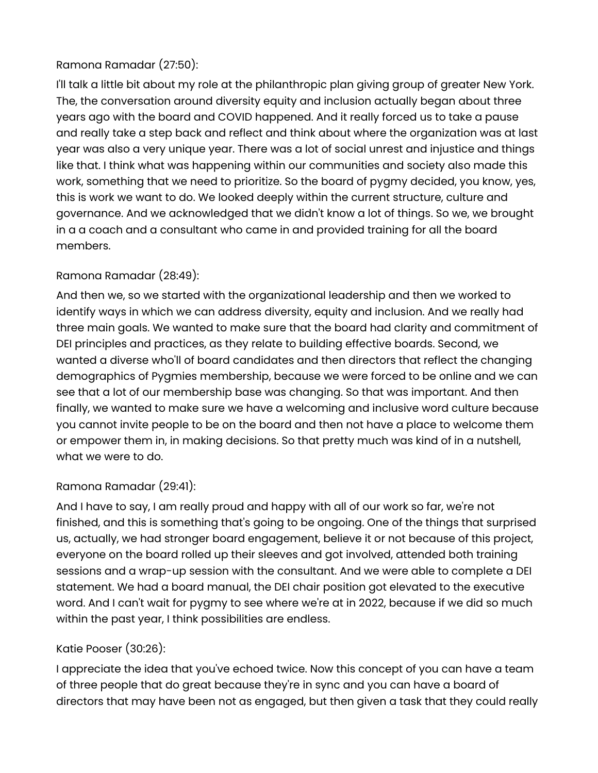## Ramona Ramadar (27:50):

I'll talk a little bit about my role at the philanthropic plan giving group of greater New York. The, the conversation around diversity equity and inclusion actually began about three years ago with the board and COVID happened. And it really forced us to take a pause and really take a step back and reflect and think about where the organization was at last year was also a very unique year. There was a lot of social unrest and injustice and things like that. I think what was happening within our communities and society also made this work, something that we need to prioritize. So the board of pygmy decided, you know, yes, this is work we want to do. We looked deeply within the current structure, culture and governance. And we acknowledged that we didn't know a lot of things. So we, we brought in a a coach and a consultant who came in and provided training for all the board members.

## Ramona Ramadar (28:49):

And then we, so we started with the organizational leadership and then we worked to identify ways in which we can address diversity, equity and inclusion. And we really had three main goals. We wanted to make sure that the board had clarity and commitment of DEI principles and practices, as they relate to building effective boards. Second, we wanted a diverse who'll of board candidates and then directors that reflect the changing demographics of Pygmies membership, because we were forced to be online and we can see that a lot of our membership base was changing. So that was important. And then finally, we wanted to make sure we have a welcoming and inclusive word culture because you cannot invite people to be on the board and then not have a place to welcome them or empower them in, in making decisions. So that pretty much was kind of in a nutshell, what we were to do.

### Ramona Ramadar (29:41):

And I have to say, I am really proud and happy with all of our work so far, we're not finished, and this is something that's going to be ongoing. One of the things that surprised us, actually, we had stronger board engagement, believe it or not because of this project, everyone on the board rolled up their sleeves and got involved, attended both training sessions and a wrap-up session with the consultant. And we were able to complete a DEI statement. We had a board manual, the DEI chair position got elevated to the executive word. And I can't wait for pygmy to see where we're at in 2022, because if we did so much within the past year, I think possibilities are endless.

### Katie Pooser (30:26):

I appreciate the idea that you've echoed twice. Now this concept of you can have a team of three people that do great because they're in sync and you can have a board of directors that may have been not as engaged, but then given a task that they could really